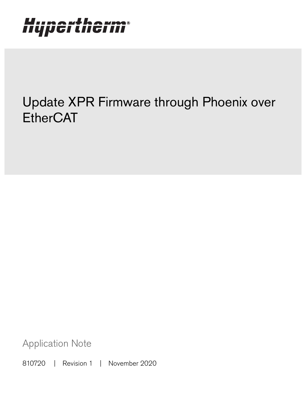# Hypertherm®

## Update XPR Firmware through Phoenix over **EtherCAT**

Application Note

810720 | Revision 1 | November 2020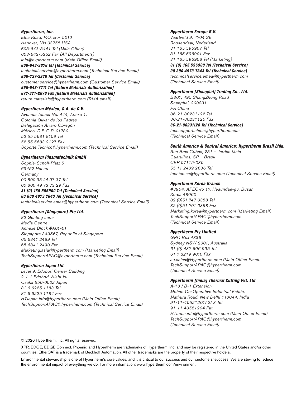#### Hypertherm, Inc.

Etna Road, P.O. Box 5010 Hanover, NH 03755 USA 603-643-3441 Tel (Main Office) 603-643-5352 Fax (All Departments) info@hypertherm.com (Main Office Email) 800-643-9878 Tel (Technical Service) technical.service@hypertherm.com (Technical Service Email) 800-737-2978 Tel (Customer Service) customer.service@hypertherm.com (Customer Service Email) 866-643-7711 Tel (Return Materials Authorization) 877-371-2876 Fax (Return Materials Authorization) return.materials@hypertherm.com (RMA email)

### Hypertherm México, S.A. de C.V.

Avenida Toluca No. 444, Anexo 1, Colonia Olivar de los Padres Delegación Álvaro Obregón México, D.F. C.P. 01780 52 55 5681 8109 Tel 52 55 5683 2127 Fax Soporte.Tecnico@hypertherm.com (Technical Service Email)

#### Hypertherm Plasmatechnik GmbH

Sophie-Scholl-Platz 5 63452 Hanau **Germany** 00 800 33 24 97 37 Tel 00 800 49 73 73 29 Fax

### 31 (0) 165 596900 Tel (Technical Service)

00 800 4973 7843 Tel (Technical Service) technicalservice.emea@hypertherm.com (Technical Service Email)

### Hypertherm (Singapore) Pte Ltd.

82 Genting Lane Media Centre Annexe Block #A01-01 Singapore 349567, Republic of Singapore 65 6841 2489 Tel 65 6841 2490 Fax Marketing.asia@hypertherm.com (Marketing Email) TechSupportAPAC@hypertherm.com (Technical Service Email)

#### Hypertherm Japan Ltd.

Level 9, Edobori Center Building 2-1-1 Edobori, Nishi-ku Osaka 550-0002 Japan 81 6 6225 1183 Tel 81 6 6225 1184 Fax HTJapan.info@hypertherm.com (Main Office Email) TechSupportAPAC@hypertherm.com (Technical Service Email)

#### Hypertherm Europe B.V.

Vaartveld 9, 4704 SE Roosendaal, Nederland 31 165 596907 Tel 31 165 596901 Fax 31 165 596908 Tel (Marketing) 31 (0) 165 596900 Tel (Technical Service) 00 800 4973 7843 Tel (Technical Service) technicalservice.emea@hypertherm.com

(Technical Service Email)

### Hypertherm (Shanghai) Trading Co., Ltd.

B301, 495 ShangZhong Road Shanghai, 200231 PR China 86-21-80231122 Tel 86-21-80231120 Fax

86-21-80231128 Tel (Technical Service) techsupport.china@hypertherm.com (Technical Service Email)

#### South America & Central America: Hypertherm Brasil Ltda.

Rua Bras Cubas, 231 – Jardim Maia Guarulhos, SP – Brasil CEP 07115-030 55 11 2409 2636 Tel tecnico.sa@hypertherm.com (Technical Service Email)

#### Hypertherm Korea Branch

#3904. APEC-ro 17. Heaundae-gu. Busan. Korea 48060 82 (0)51 747 0358 Tel 82 (0)51 701 0358 Fax Marketing.korea@hypertherm.com (Marketing Email) TechSupportAPAC@hypertherm.com (Technical Service Email)

#### Hypertherm Pty Limited

GPO Box 4836 Sydney NSW 2001, Australia 61 (0) 437 606 995 Tel 61 7 3219 9010 Fax au.sales@Hypertherm.com (Main Office Email) TechSupportAPAC@hypertherm.com (Technical Service Email)

### Hypertherm (India) Thermal Cutting Pvt. Ltd

A-18 / B-1 Extension, Mohan Co-Operative Industrial Estate, Mathura Road, New Delhi 110044, India 91-11-40521201/ 2/ 3 Tel 91-11 40521204 Fax HTIndia.info@hypertherm.com (Main Office Email) TechSupportAPAC@hypertherm.com (Technical Service Email)

© 2020 Hypertherm, Inc. All rights reserved.

XPR, EDGE, EDGE Connect, Phoenix, and Hypertherm are trademarks of Hypertherm, Inc. and may be registered in the United States and/or other countries. EtherCAT is a trademark of Beckhoff Automation. All other trademarks are the property of their respective holders.

[Environmental stewardship is one of Hypertherm's core values, and it is critical to our success and our customers' success. We are striving to reduce](https://www.hypertherm.com/environment)  the environmental impact of everything we do. For more information: www.hypertherm.com/environment.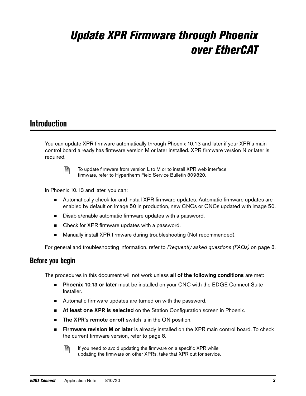## Update XPR Firmware through Phoenix over EtherCAT

### **Introduction**

You can update XPR firmware automatically through Phoenix 10.13 and later if your XPR's main control board already has firmware version M or later installed. XPR firmware version N or later is required.



 $\begin{bmatrix} \mathbb{R} \\ \mathbb{R} \end{bmatrix}$  To update firmware from version L to M or to install XPR web interface firmware, refer to Hypertherm Field Service Bulletin 809820.

In Phoenix 10.13 and later, you can:

- **Automatically check for and install XPR firmware updates. Automatic firmware updates are** enabled by default on Image 50 in production, new CNCs or CNCs updated with Image 50.
- Disable/enable automatic firmware updates with a password.
- Check for XPR firmware updates with a password.
- **Manually install XPR firmware during troubleshooting (Not recommended).**

For general and troubleshooting information, refer to [Frequently asked questions \(FAQs\)](#page-7-0) on page 8.

### <span id="page-2-0"></span>**Before you begin**

The procedures in this document will not work unless all of the following conditions are met:

- **Phoenix 10.13 or later** must be installed on your CNC with the EDGE Connect Suite Installer.
- Automatic firmware updates are turned on with the password.
- **At least one XPR is selected** on the Station Configuration screen in Phoenix.
- **The XPR's remote on-off** switch is in the ON position.
- **Firmware revision M or later** is already installed on the XPR main control board. To check the current firmware version, refer to [page 8](#page-7-0).

 $\begin{bmatrix} \Box \ \end{bmatrix}$  If you need to avoid updating the firmware on a specific XPR while updating the firmware on other XPRs, take that XPR out for service.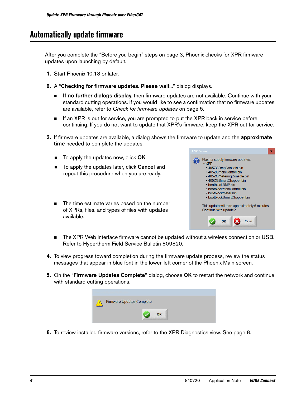### <span id="page-3-0"></span>**Automatically update firmware**

After you complete the "Before you begin" steps on [page 3](#page-2-0), Phoenix checks for XPR firmware updates upon launching by default.

- 1. Start Phoenix 10.13 or later.
- 2. A "Checking for firmware updates. Please wait..." dialog displays.
	- **If no further dialogs display,** then firmware updates are not available. Continue with your standard cutting operations. If you would like to see a confirmation that no firmware updates are available, refer to [Check for firmware updates](#page-4-0) on page 5.
	- **If an XPR is out for service, you are prompted to put the XPR back in service before** continuing. If you do not want to update that XPR's firmware, keep the XPR out for service.
- **3.** If firmware updates are available, a dialog shows the firmware to update and the **approximate** time needed to complete the updates.
	- $\blacksquare$  To apply the updates now, click OK.
	- To apply the updates later, click **Cancel** and repeat this procedure when you are ready.
	- The time estimate varies based on the number of XPRs, files, and types of files with updates available.



- The XPR Web Interface firmware cannot be updated without a wireless connection or USB. Refer to Hypertherm Field Service Bulletin 809820.
- 4. To view progress toward completion during the firmware update process, review the status messages that appear in blue font in the lower-left corner of the Phoenix Main screen.
- **5.** On the "Firmware Updates Complete" dialog, choose OK to restart the network and continue with standard cutting operations.



6. To review installed firmware versions, refer to the XPR Diagnostics view. See [page 8](#page-7-1).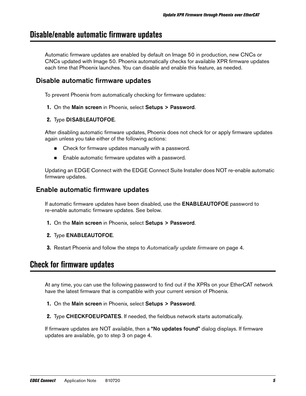### <span id="page-4-1"></span>**Disable/enable automatic firmware updates**

Automatic firmware updates are enabled by default on Image 50 in production, new CNCs or CNCs updated with Image 50. Phoenix automatically checks for available XPR firmware updates each time that Phoenix launches. You can disable and enable this feature, as needed.

### Disable automatic firmware updates

To prevent Phoenix from automatically checking for firmware updates:

1. On the Main screen in Phoenix, select Setups > Password.

### 2. Type DISABLEAUTOFOE.

After disabling automatic firmware updates, Phoenix does not check for or apply firmware updates again unless you take either of the following actions:

- Check for firmware updates manually with a password.
- Enable automatic firmware updates with a password.

Updating an EDGE Connect with the EDGE Connect Suite Installer does NOT re-enable automatic firmware updates.

### Enable automatic firmware updates

If automatic firmware updates have been disabled, use the **ENABLEAUTOFOE** password to re-enable automatic firmware updates. See below.

- 1. On the Main screen in Phoenix, select Setups > Password.
- 2. Type ENABLEAUTOFOE.
- **3.** Restart Phoenix and follow the steps to [Automatically update firmware](#page-3-0) on page 4.

### <span id="page-4-0"></span>**Check for firmware updates**

At any time, you can use the following password to find out if the XPRs on your EtherCAT network have the latest firmware that is compatible with your current version of Phoenix.

- 1. On the Main screen in Phoenix, select Setups > Password.
- 2. Type CHECKFOEUPDATES. If needed, the fieldbus network starts automatically.

If firmware updates are NOT available, then a "No updates found" dialog displays. If firmware updates are available, go to step 3 on [page 4.](#page-3-0)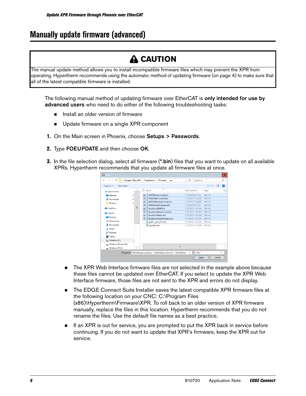### <span id="page-5-0"></span>**Manually update firmware (advanced)**

### **A** CAUTION

The manual update method allows you to install incompatible firmware files which may prevent the XPR from operating. Hypertherm recommends using the automatic method of updating firmware (on [page 4](#page-3-0)) to make sure that all of the latest compatible firmware is installed.

The following manual method of updating firmware over EtherCAT is only intended for use by advanced users who need to do either of the following troubleshooting tasks:

- **IF** Install an older version of firmware
- **Update firmware on a single XPR component**
- 1. On the Main screen in Phoenix, choose Setups > Passwords.
- 2. Type FOEUPDATE and then choose OK.
- **3.** In the file selection dialog, select all firmware (\*.bin) files that you want to update on all available XPRs. Hypertherm recommends that you update all firmware files at once.



- The XPR Web Interface firmware files are not selected in the example above because these files cannot be updated over EtherCAT. If you select to update the XPR Web Interface firmware, those files are not sent to the XPR and errors do not display.
- The EDGE Connect Suite Installer saves the latest compatible XPR firmware files at the following location on your CNC: C:\Program Files (x86)\Hypertherm\Firmware\XPR. To roll back to an older version of XPR firmware manually, replace the files in this location. Hypertherm recommends that you do not rename the files. Use the default file names as a best practice.
- If an XPR is out for service, you are prompted to put the XPR back in service before continuing. If you do not want to update that XPR's firmware, keep the XPR out for service.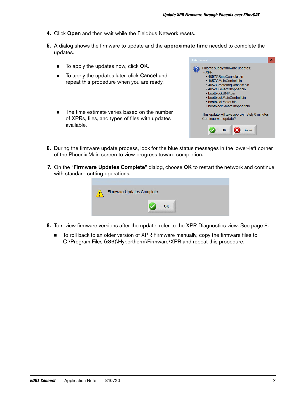- 4. Click Open and then wait while the Fieldbus Network resets.
- **5.** A dialog shows the firmware to update and the **approximate time** needed to complete the updates.
	- To apply the updates now, click OK.
	- To apply the updates later, click **Cancel** and repeat this procedure when you are ready.
	- The time estimate varies based on the number of XPRs, files, and types of files with updates available.



- 6. During the firmware update process, look for the blue status messages in the lower-left corner of the Phoenix Main screen to view progress toward completion.
- **7.** On the "Firmware Updates Complete" dialog, choose OK to restart the network and continue with standard cutting operations.

| Firmware Updates Complete |  |
|---------------------------|--|
| OK                        |  |

- 8. To review firmware versions after the update, refer to the XPR Diagnostics view. See [page 8.](#page-7-1)
	- To roll back to an older version of XPR Firmware manually, copy the firmware files to C:\Program Files (x86)\Hypertherm\Firmware\XPR and repeat this procedure.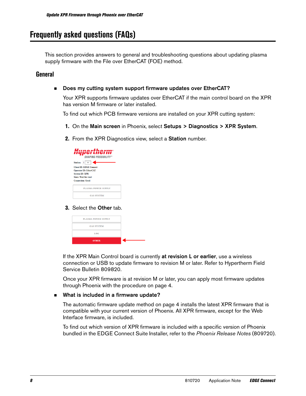### <span id="page-7-0"></span>**Frequently asked questions (FAQs)**

This section provides answers to general and troubleshooting questions about updating plasma supply firmware with the File over EtherCAT (FOE) method.

### **General**

<span id="page-7-1"></span>Does my cutting system support firmware updates over EtherCAT?

Your XPR supports firmware updates over EtherCAT if the main control board on the XPR has version M firmware or later installed.

To find out which PCB firmware versions are installed on your XPR cutting system:

- 1. On the Main screen in Phoenix, select Setups > Diagnostics > XPR System.
- 2. From the XPR Diagnostics view, select a Station number.



### **3.** Select the **Other** tab.

| <b>PLASMA POWER SUPPLY</b> |
|----------------------------|
| <b>GAS SYSTEM</b>          |
| <b>LOC</b>                 |
| <b>OTHER</b>               |

If the XPR Main Control board is currently at revision L or earlier, use a wireless connection or USB to update firmware to revision M or later. Refer to Hypertherm Field Service Bulletin 809820.

Once your XPR firmware is at revision M or later, you can apply most firmware updates through Phoenix with the procedure on [page 4](#page-3-0).

### ■ What is included in a firmware update?

The automatic firmware update method on [page 4](#page-3-0) installs the latest XPR firmware that is compatible with your current version of Phoenix. All XPR firmware, except for the Web Interface firmware, is included.

To find out which version of XPR firmware is included with a specific version of Phoenix bundled in the EDGE Connect Suite Installer, refer to the *Phoenix Release Notes* (809720).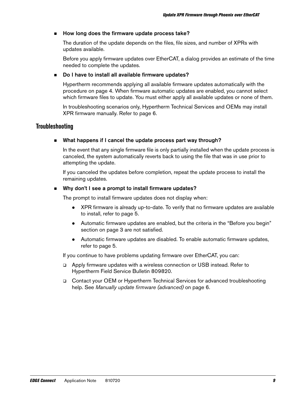### How long does the firmware update process take?

The duration of the update depends on the files, file sizes, and number of XPRs with updates available.

Before you apply firmware updates over EtherCAT, a dialog provides an estimate of the time needed to complete the updates.

### Do I have to install all available firmware updates?

Hypertherm recommends applying all available firmware updates automatically with the procedure on [page 4.](#page-3-0) When firmware automatic updates are enabled, you cannot select which firmware files to update. You must either apply all available updates or none of them.

In troubleshooting scenarios only, Hypertherm Technical Services and OEMs may install XPR firmware manually. Refer to [page 6.](#page-5-0)

### **Troubleshooting**

### What happens if I cancel the update process part way through?

In the event that any single firmware file is only partially installed when the update process is canceled, the system automatically reverts back to using the file that was in use prior to attempting the update.

If you canceled the updates before completion, repeat the update process to install the remaining updates.

### Why don't I see a prompt to install firmware updates?

The prompt to install firmware updates does not display when:

- XPR firmware is already up-to-date. To verify that no firmware updates are available to install, refer to [page 5.](#page-4-0)
- Automatic firmware updates are enabled, but the criteria in the "Before you begin" section on [page 3](#page-2-0) are not satisfied.
- Automatic firmware updates are disabled. To enable automatic firmware updates, refer to [page 5](#page-4-1).

If you continue to have problems updating firmware over EtherCAT, you can:

- Apply firmware updates with a wireless connection or USB instead. Refer to Hypertherm Field Service Bulletin 809820.
- Contact your OEM or Hypertherm Technical Services for advanced troubleshooting help. See [Manually update firmware \(advanced\)](#page-5-0) on page 6.